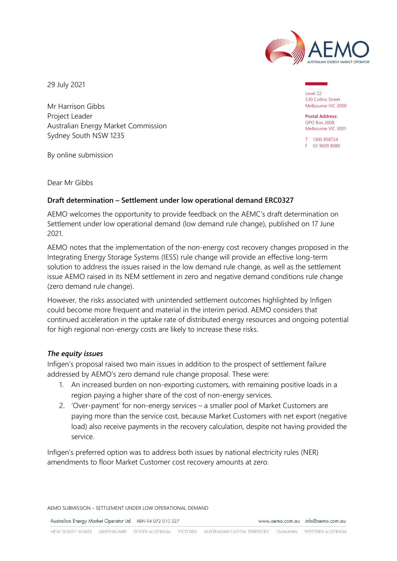

29 July 2021

Mr Harrison Gibbs Project Leader Australian Energy Market Commission Sydney South NSW 1235

By online submission

Dear Mr Gibbs

## **Draft determination – Settlement under low operational demand ERC0327**

AEMO welcomes the opportunity to provide feedback on the AEMC's draft determination on Settlement under low operational demand (low demand rule change), published on 17 June 2021.

AEMO notes that the implementation of the non-energy cost recovery changes proposed in the Integrating Energy Storage Systems (IESS) rule change will provide an effective long-term solution to address the issues raised in the low demand rule change, as well as the settlement issue AEMO raised in its NEM settlement in zero and negative demand conditions rule change (zero demand rule change).

However, the risks associated with unintended settlement outcomes highlighted by Infigen could become more frequent and material in the interim period. AEMO considers that continued acceleration in the uptake rate of distributed energy resources and ongoing potential for high regional non-energy costs are likely to increase these risks.

## *The equity issues*

Infigen's proposal raised two main issues in addition to the prospect of settlement failure addressed by AEMO's zero demand rule change proposal. These were:

- 1. An increased burden on non-exporting customers, with remaining positive loads in a region paying a higher share of the cost of non-energy services.
- 2. 'Over-payment' for non-energy services a smaller pool of Market Customers are paying more than the service cost, because Market Customers with net export (negative load) also receive payments in the recovery calculation, despite not having provided the service.

Infigen's preferred option was to address both issues by national electricity rules (NER) amendments to floor Market Customer cost recovery amounts at zero.

AEMO SUBMISSION – SETTLEMENT UNDER LOW OPERATIONAL DEMAND

Australian Energy Market Operator Ltd ABN 94 072 010 327

www.aemo.com.au info@aemo.com.au

Level 22 530 Collins Street Melbourne VIC 3000

**Postal Address:** GPO Box 2008 Melbourne VIC 3001

T 1300 858724 F 03 9609 8080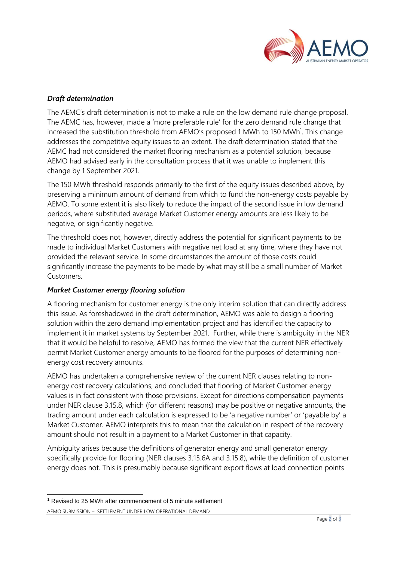

## *Draft determination*

The AEMC's draft determination is not to make a rule on the low demand rule change proposal. The AEMC has, however, made a 'more preferable rule' for the zero demand rule change that increased the substitution threshold from AEMO's proposed 1 MWh to 150 MWh<sup>1</sup>. This change addresses the competitive equity issues to an extent. The draft determination stated that the AEMC had not considered the market flooring mechanism as a potential solution, because AEMO had advised early in the consultation process that it was unable to implement this change by 1 September 2021.

The 150 MWh threshold responds primarily to the first of the equity issues described above, by preserving a minimum amount of demand from which to fund the non-energy costs payable by AEMO. To some extent it is also likely to reduce the impact of the second issue in low demand periods, where substituted average Market Customer energy amounts are less likely to be negative, or significantly negative.

The threshold does not, however, directly address the potential for significant payments to be made to individual Market Customers with negative net load at any time, where they have not provided the relevant service. In some circumstances the amount of those costs could significantly increase the payments to be made by what may still be a small number of Market Customers.

## *Market Customer energy flooring solution*

A flooring mechanism for customer energy is the only interim solution that can directly address this issue. As foreshadowed in the draft determination, AEMO was able to design a flooring solution within the zero demand implementation project and has identified the capacity to implement it in market systems by September 2021. Further, while there is ambiguity in the NER that it would be helpful to resolve, AEMO has formed the view that the current NER effectively permit Market Customer energy amounts to be floored for the purposes of determining nonenergy cost recovery amounts.

AEMO has undertaken a comprehensive review of the current NER clauses relating to nonenergy cost recovery calculations, and concluded that flooring of Market Customer energy values is in fact consistent with those provisions. Except for directions compensation payments under NER clause 3.15.8, which (for different reasons) may be positive or negative amounts, the trading amount under each calculation is expressed to be 'a negative number' or 'payable by' a Market Customer. AEMO interprets this to mean that the calculation in respect of the recovery amount should not result in a payment to a Market Customer in that capacity.

Ambiguity arises because the definitions of generator energy and small generator energy specifically provide for flooring (NER clauses 3.15.6A and 3.15.8), while the definition of customer energy does not. This is presumably because significant export flows at load connection points

AEMO SUBMISSION – SETTLEMENT UNDER LOW OPERATIONAL DEMAND <sup>1</sup> Revised to 25 MWh after commencement of 5 minute settlement